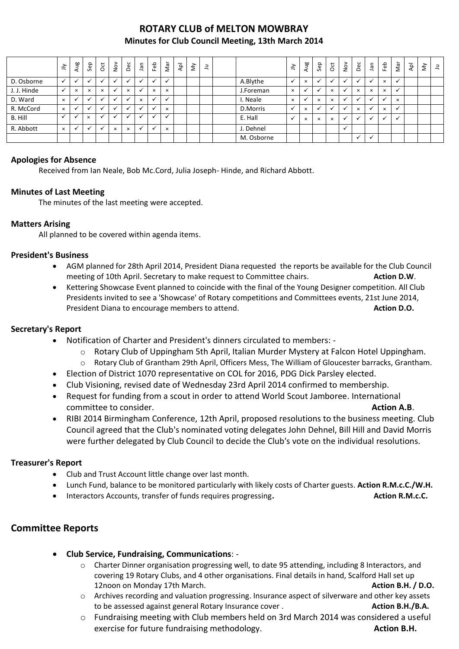# **ROTARY CLUB of MELTON MOWBRAY Minutes for Club Council Meeting, 13th March 2014**

|             | $\preceq$    | Aug                      | Sep                  | $\overline{5}$ | $\stackrel{\textstyle\sim}{\sim}$ | Dec                      | n <sub>el</sub> | Feb          | Nar      | $\overline{P}$ | š | $\exists$ |           | $\leq$     | Aug                  | Sep      | õ        | $\geq$ | Dec            | ۹Ē           | Feb          | Nar      | $\bar{A}$ | $\check{\varepsilon}$ | $\exists$ |
|-------------|--------------|--------------------------|----------------------|----------------|-----------------------------------|--------------------------|-----------------|--------------|----------|----------------|---|-----------|-----------|------------|----------------------|----------|----------|--------|----------------|--------------|--------------|----------|-----------|-----------------------|-----------|
| D. Osborne  | $\checkmark$ | $\overline{\phantom{a}}$ | $\ddot{\phantom{0}}$ |                |                                   | $\overline{\phantom{a}}$ |                 | $\mathbf{v}$ |          |                |   |           | A.Blythe  |            | $\times$             |          |          |        | $\overline{ }$ |              | $\times$     |          |           |                       |           |
| J. J. Hinde | $\checkmark$ | $\times$                 | $\times$             | $\times$       |                                   | $\times$                 |                 | $\times$     | $\times$ |                |   |           | J.Foreman | $\times$   |                      |          | $\times$ |        | $\times$       | $\times$     | $\times$     |          |           |                       |           |
| D. Ward     | $\times$     |                          | $\ddot{\phantom{0}}$ |                |                                   |                          | $\times$        | $\mathbf{v}$ |          |                |   |           | I. Neale  | $\times$   | $\ddot{\phantom{0}}$ | $\times$ | $\times$ |        | $\overline{u}$ |              |              | $\times$ |           |                       |           |
| R. McCord   | $\times$     |                          |                      |                |                                   |                          |                 |              | $\times$ |                |   |           | D.Morris  |            | $\times$             |          |          |        | $\times$       |              | $\times$     |          |           |                       |           |
| B. Hill     | $\checkmark$ |                          | $\times$             |                |                                   | $\bullet$ .              |                 |              |          |                |   |           | E. Hall   |            | $\times$             | $\times$ | $\times$ |        | $\checkmark$   | $\checkmark$ | $\checkmark$ | v        |           |                       |           |
| R. Abbott   | $\times$     |                          |                      |                | $\times$                          | $\times$                 |                 | $\checkmark$ | $\times$ |                |   |           | J. Dehnel |            |                      |          |          |        |                |              |              |          |           |                       |           |
|             |              |                          |                      |                |                                   |                          |                 |              |          |                |   |           |           | M. Osborne |                      |          |          |        | $\checkmark$   |              |              |          |           |                       |           |

### **Apologies for Absence**

Received from Ian Neale, Bob Mc.Cord, Julia Joseph- Hinde, and Richard Abbott.

### **Minutes of Last Meeting**

The minutes of the last meeting were accepted.

### **Matters Arising**

All planned to be covered within agenda items.

#### **President's Business**

- AGM planned for 28th April 2014, President Diana requested the reports be available for the Club Council meeting of 10th April. Secretary to make request to Committee chairs. **Action D.W.**
- Kettering Showcase Event planned to coincide with the final of the Young Designer competition. All Club Presidents invited to see a 'Showcase' of Rotary competitions and Committees events, 21st June 2014, President Diana to encourage members to attend. **Action D.O. Action D.O.**

### **Secretary's Report**

- Notification of Charter and President's dinners circulated to members:
	- $\circ$  Rotary Club of Uppingham 5th April, Italian Murder Mystery at Falcon Hotel Uppingham.
	- o Rotary Club of Grantham 29th April, Officers Mess, The William of Gloucester barracks, Grantham.
- Election of District 1070 representative on COL for 2016, PDG Dick Parsley elected.
- Club Visioning, revised date of Wednesday 23rd April 2014 confirmed to membership.
- Request for funding from a scout in order to attend World Scout Jamboree. International **Committee to consider. Action A.B. Action A.B. Action A.B.**
- RIBI 2014 Birmingham Conference, 12th April, proposed resolutions to the business meeting. Club Council agreed that the Club's nominated voting delegates John Dehnel, Bill Hill and David Morris were further delegated by Club Council to decide the Club's vote on the individual resolutions.

### **Treasurer's Report**

- Club and Trust Account little change over last month.
- Lunch Fund, balance to be monitored particularly with likely costs of Charter guests. **Action R.M.c.C./W.H.**
- **•** Interactors Accounts, transfer of funds requires progressing. **Action R.M.c.C. Action R.M.c.C.**

### **Committee Reports**

- **Club Service, Fundraising, Communications**:
	- o Charter Dinner organisation progressing well, to date 95 attending, including 8 Interactors, and covering 19 Rotary Clubs, and 4 other organisations. Final details in hand, Scalford Hall set up 12noon on Monday 17th March. **Action B.H. / D.O. Action B.H. / D.O. Action B.H. / D.O.**
	- o Archives recording and valuation progressing. Insurance aspect of silverware and other key assets to be assessed against general Rotary Insurance cover . **Action B.H./B.A. Action B.H./B.A.**
	- o Fundraising meeting with Club members held on 3rd March 2014 was considered a useful exercise for future fundraising methodology. **Action B.H.**